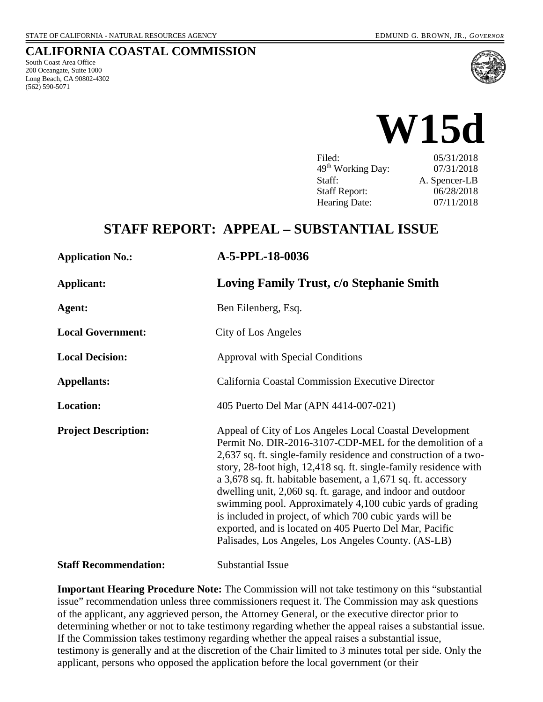### **CALIFORNIA COASTAL COMMISSION**

South Coast Area Office 200 Oceangate, Suite 1000 Long Beach, CA 90802-4302 (562) 590-5071





| 05/31/2018    |
|---------------|
| 07/31/2018    |
| A. Spencer-LB |
| 06/28/2018    |
| 07/11/2018    |
|               |

## **STAFF REPORT: APPEAL – SUBSTANTIAL ISSUE**

| <b>Application No.:</b>      | A-5-PPL-18-0036                                                                                                                                                                                                                                                                                                                                                                                                                                                                                                                                                                                                                        |
|------------------------------|----------------------------------------------------------------------------------------------------------------------------------------------------------------------------------------------------------------------------------------------------------------------------------------------------------------------------------------------------------------------------------------------------------------------------------------------------------------------------------------------------------------------------------------------------------------------------------------------------------------------------------------|
| <b>Applicant:</b>            | Loving Family Trust, c/o Stephanie Smith                                                                                                                                                                                                                                                                                                                                                                                                                                                                                                                                                                                               |
| Agent:                       | Ben Eilenberg, Esq.                                                                                                                                                                                                                                                                                                                                                                                                                                                                                                                                                                                                                    |
| <b>Local Government:</b>     | City of Los Angeles                                                                                                                                                                                                                                                                                                                                                                                                                                                                                                                                                                                                                    |
| <b>Local Decision:</b>       | Approval with Special Conditions                                                                                                                                                                                                                                                                                                                                                                                                                                                                                                                                                                                                       |
| <b>Appellants:</b>           | <b>California Coastal Commission Executive Director</b>                                                                                                                                                                                                                                                                                                                                                                                                                                                                                                                                                                                |
| Location:                    | 405 Puerto Del Mar (APN 4414-007-021)                                                                                                                                                                                                                                                                                                                                                                                                                                                                                                                                                                                                  |
| <b>Project Description:</b>  | Appeal of City of Los Angeles Local Coastal Development<br>Permit No. DIR-2016-3107-CDP-MEL for the demolition of a<br>2,637 sq. ft. single-family residence and construction of a two-<br>story, 28-foot high, 12,418 sq. ft. single-family residence with<br>a 3,678 sq. ft. habitable basement, a 1,671 sq. ft. accessory<br>dwelling unit, 2,060 sq. ft. garage, and indoor and outdoor<br>swimming pool. Approximately 4,100 cubic yards of grading<br>is included in project, of which 700 cubic yards will be<br>exported, and is located on 405 Puerto Del Mar, Pacific<br>Palisades, Los Angeles, Los Angeles County. (AS-LB) |
| <b>Staff Recommendation:</b> | <b>Substantial Issue</b>                                                                                                                                                                                                                                                                                                                                                                                                                                                                                                                                                                                                               |

**Important Hearing Procedure Note:** The Commission will not take testimony on this "substantial issue" recommendation unless three commissioners request it. The Commission may ask questions of the applicant, any aggrieved person, the Attorney General, or the executive director prior to determining whether or not to take testimony regarding whether the appeal raises a substantial issue. If the Commission takes testimony regarding whether the appeal raises a substantial issue, testimony is generally and at the discretion of the Chair limited to 3 minutes total per side. Only the applicant, persons who opposed the application before the local government (or their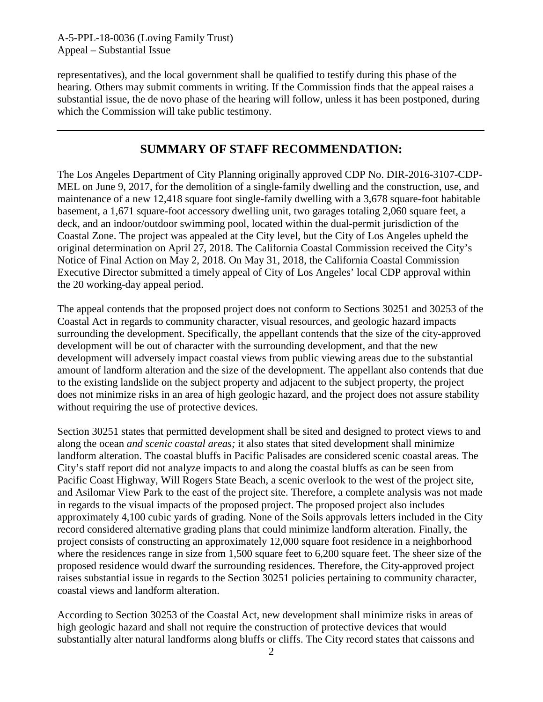representatives), and the local government shall be qualified to testify during this phase of the hearing. Others may submit comments in writing. If the Commission finds that the appeal raises a substantial issue, the de novo phase of the hearing will follow, unless it has been postponed, during which the Commission will take public testimony.

## **SUMMARY OF STAFF RECOMMENDATION:**

The Los Angeles Department of City Planning originally approved CDP No. DIR-2016-3107-CDP-MEL on June 9, 2017, for the demolition of a single-family dwelling and the construction, use, and maintenance of a new 12,418 square foot single-family dwelling with a 3,678 square-foot habitable basement, a 1,671 square-foot accessory dwelling unit, two garages totaling 2,060 square feet, a deck, and an indoor/outdoor swimming pool, located within the dual-permit jurisdiction of the Coastal Zone. The project was appealed at the City level, but the City of Los Angeles upheld the original determination on April 27, 2018. The California Coastal Commission received the City's Notice of Final Action on May 2, 2018. On May 31, 2018, the California Coastal Commission Executive Director submitted a timely appeal of City of Los Angeles' local CDP approval within the 20 working-day appeal period.

The appeal contends that the proposed project does not conform to Sections 30251 and 30253 of the Coastal Act in regards to community character, visual resources, and geologic hazard impacts surrounding the development. Specifically, the appellant contends that the size of the city-approved development will be out of character with the surrounding development, and that the new development will adversely impact coastal views from public viewing areas due to the substantial amount of landform alteration and the size of the development. The appellant also contends that due to the existing landslide on the subject property and adjacent to the subject property, the project does not minimize risks in an area of high geologic hazard, and the project does not assure stability without requiring the use of protective devices.

Section 30251 states that permitted development shall be sited and designed to protect views to and along the ocean *and scenic coastal areas;* it also states that sited development shall minimize landform alteration. The coastal bluffs in Pacific Palisades are considered scenic coastal areas. The City's staff report did not analyze impacts to and along the coastal bluffs as can be seen from Pacific Coast Highway, Will Rogers State Beach, a scenic overlook to the west of the project site, and Asilomar View Park to the east of the project site. Therefore, a complete analysis was not made in regards to the visual impacts of the proposed project. The proposed project also includes approximately 4,100 cubic yards of grading. None of the Soils approvals letters included in the City record considered alternative grading plans that could minimize landform alteration. Finally, the project consists of constructing an approximately 12,000 square foot residence in a neighborhood where the residences range in size from 1,500 square feet to 6,200 square feet. The sheer size of the proposed residence would dwarf the surrounding residences. Therefore, the City-approved project raises substantial issue in regards to the Section 30251 policies pertaining to community character, coastal views and landform alteration.

According to Section 30253 of the Coastal Act, new development shall minimize risks in areas of high geologic hazard and shall not require the construction of protective devices that would substantially alter natural landforms along bluffs or cliffs. The City record states that caissons and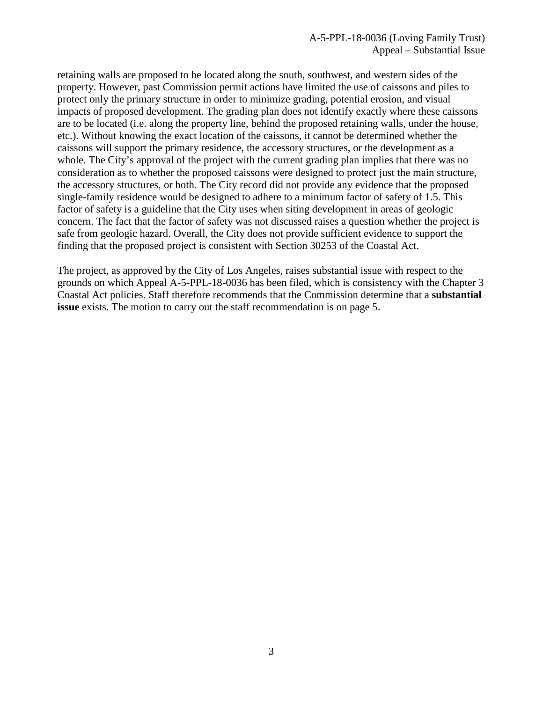retaining walls are proposed to be located along the south, southwest, and western sides of the property. However, past Commission permit actions have limited the use of caissons and piles to protect only the primary structure in order to minimize grading, potential erosion, and visual impacts of proposed development. The grading plan does not identify exactly where these caissons are to be located (i.e. along the property line, behind the proposed retaining walls, under the house, etc.). Without knowing the exact location of the caissons, it cannot be determined whether the caissons will support the primary residence, the accessory structures, or the development as a whole. The City's approval of the project with the current grading plan implies that there was no consideration as to whether the proposed caissons were designed to protect just the main structure, the accessory structures, or both. The City record did not provide any evidence that the proposed single-family residence would be designed to adhere to a minimum factor of safety of 1.5. This factor of safety is a guideline that the City uses when siting development in areas of geologic concern. The fact that the factor of safety was not discussed raises a question whether the project is safe from geologic hazard. Overall, the City does not provide sufficient evidence to support the finding that the proposed project is consistent with Section 30253 of the Coastal Act.

The project, as approved by the City of Los Angeles, raises substantial issue with respect to the grounds on which Appeal A-5-PPL-18-0036 has been filed, which is consistency with the Chapter 3 Coastal Act policies. Staff therefore recommends that the Commission determine that a **substantial issue** exists. The motion to carry out the staff recommendation is on page 5.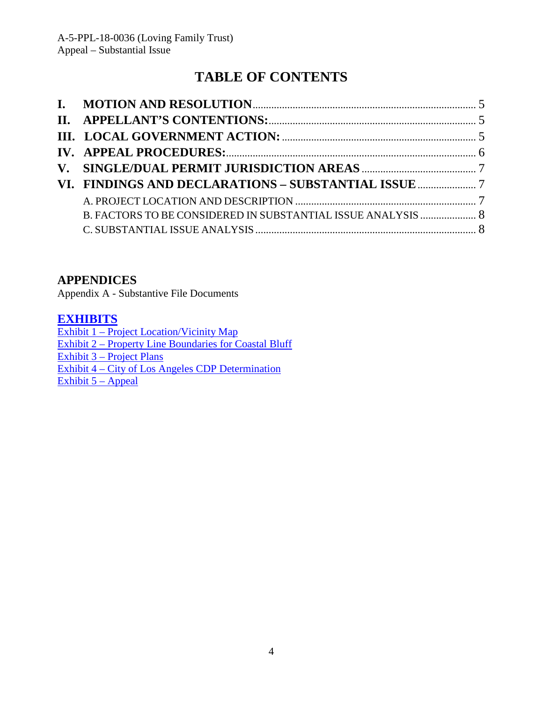# **TABLE OF CONTENTS**

## **APPENDICES**

Appendix A - Substantive File Documents

## **[EXHIBITS](https://documents.coastal.ca.gov/reports/2018/7/w15d/w15d-7-2018-exhibits.pdf)**

[Exhibit 1 – Project Location/Vicinity Map](https://documents.coastal.ca.gov/reports/2018/7/w15d/w15d-7-2018-exhibits.pdf) [Exhibit 2 – Property Line Boundaries for Coastal Bluff](https://documents.coastal.ca.gov/reports/2018/7/w15d/w15d-7-2018-exhibits.pdf)  [Exhibit 3 – Project Plans](https://documents.coastal.ca.gov/reports/2018/7/w15d/w15d-7-2018-exhibits.pdf) [Exhibit 4 – City of Los Angeles CDP Determination](https://documents.coastal.ca.gov/reports/2018/7/w15d/w15d-7-2018-exhibits.pdf) Exhibit  $5 -$ Appeal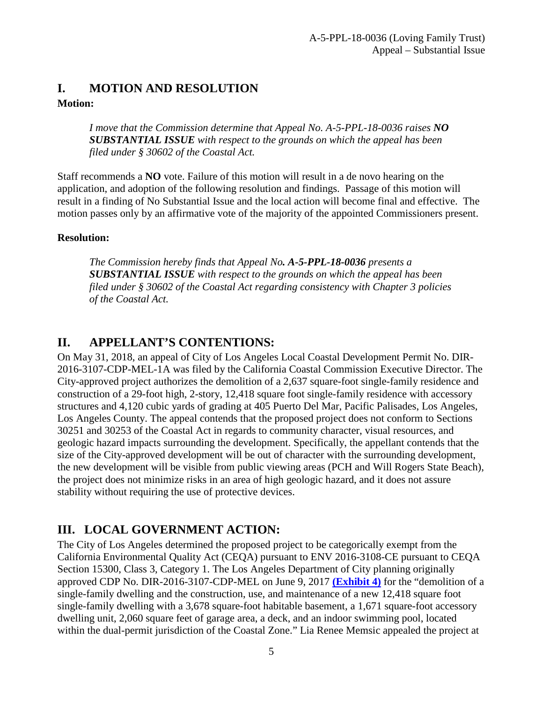## <span id="page-4-0"></span>**I. MOTION AND RESOLUTION**

### **Motion:**

*I move that the Commission determine that Appeal No. A-5-PPL-18-0036 raises NO SUBSTANTIAL ISSUE with respect to the grounds on which the appeal has been filed under § 30602 of the Coastal Act.* 

Staff recommends a **NO** vote. Failure of this motion will result in a de novo hearing on the application, and adoption of the following resolution and findings. Passage of this motion will result in a finding of No Substantial Issue and the local action will become final and effective. The motion passes only by an affirmative vote of the majority of the appointed Commissioners present.

### **Resolution:**

*The Commission hereby finds that Appeal No. A-5-PPL-18-0036 presents a SUBSTANTIAL ISSUE with respect to the grounds on which the appeal has been filed under § 30602 of the Coastal Act regarding consistency with Chapter 3 policies of the Coastal Act.* 

## <span id="page-4-1"></span>**II. APPELLANT'S CONTENTIONS:**

On May 31, 2018, an appeal of City of Los Angeles Local Coastal Development Permit No. DIR-2016-3107-CDP-MEL-1A was filed by the California Coastal Commission Executive Director. The City-approved project authorizes the demolition of a 2,637 square-foot single-family residence and construction of a 29-foot high, 2-story, 12,418 square foot single-family residence with accessory structures and 4,120 cubic yards of grading at 405 Puerto Del Mar, Pacific Palisades, Los Angeles, Los Angeles County. The appeal contends that the proposed project does not conform to Sections 30251 and 30253 of the Coastal Act in regards to community character, visual resources, and geologic hazard impacts surrounding the development. Specifically, the appellant contends that the size of the City-approved development will be out of character with the surrounding development, the new development will be visible from public viewing areas (PCH and Will Rogers State Beach), the project does not minimize risks in an area of high geologic hazard, and it does not assure stability without requiring the use of protective devices.

## <span id="page-4-2"></span>**III. LOCAL GOVERNMENT ACTION:**

The City of Los Angeles determined the proposed project to be categorically exempt from the California Environmental Quality Act (CEQA) pursuant to ENV 2016-3108-CE pursuant to CEQA Section 15300, Class 3, Category 1. The Los Angeles Department of City planning originally approved CDP No. DIR-2016-3107-CDP-MEL on June 9, 2017 **[\(Exhibit 4\)](https://documents.coastal.ca.gov/reports/2018/7/w15d/w15d-7-2018-exhibits.pdf)** for the "demolition of a single-family dwelling and the construction, use, and maintenance of a new 12,418 square foot single-family dwelling with a 3,678 square-foot habitable basement, a 1,671 square-foot accessory dwelling unit, 2,060 square feet of garage area, a deck, and an indoor swimming pool, located within the dual-permit jurisdiction of the Coastal Zone." Lia Renee Memsic appealed the project at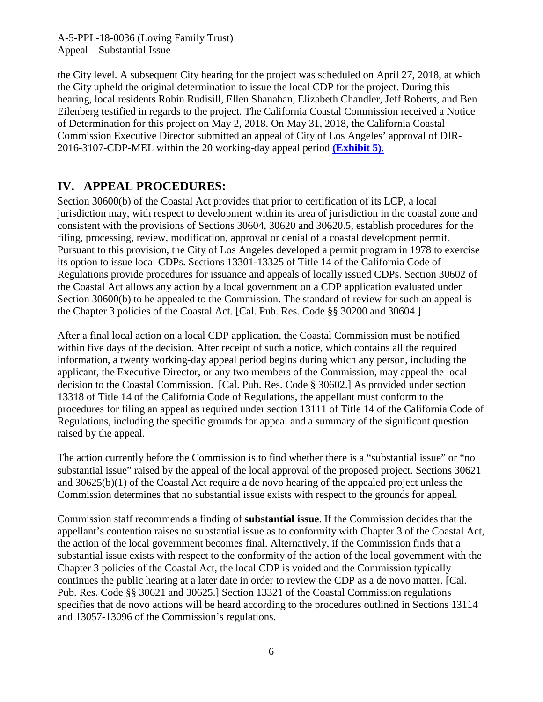the City level. A subsequent City hearing for the project was scheduled on April 27, 2018, at which the City upheld the original determination to issue the local CDP for the project. During this hearing, local residents Robin Rudisill, Ellen Shanahan, Elizabeth Chandler, Jeff Roberts, and Ben Eilenberg testified in regards to the project. The California Coastal Commission received a Notice of Determination for this project on May 2, 2018. On May 31, 2018, the California Coastal Commission Executive Director submitted an appeal of City of Los Angeles' approval of DIR-2016-3107-CDP-MEL within the 20 working-day appeal period **[\(Exhibit 5\)](https://documents.coastal.ca.gov/reports/2018/7/w15d/w15d-7-2018-exhibits.pdf)**.

## <span id="page-5-0"></span>**IV. APPEAL PROCEDURES:**

Section 30600(b) of the Coastal Act provides that prior to certification of its LCP, a local jurisdiction may, with respect to development within its area of jurisdiction in the coastal zone and consistent with the provisions of Sections 30604, 30620 and 30620.5, establish procedures for the filing, processing, review, modification, approval or denial of a coastal development permit. Pursuant to this provision, the City of Los Angeles developed a permit program in 1978 to exercise its option to issue local CDPs. Sections 13301-13325 of Title 14 of the California Code of Regulations provide procedures for issuance and appeals of locally issued CDPs. Section 30602 of the Coastal Act allows any action by a local government on a CDP application evaluated under Section 30600(b) to be appealed to the Commission. The standard of review for such an appeal is the Chapter 3 policies of the Coastal Act. [Cal. Pub. Res. Code §§ 30200 and 30604.]

After a final local action on a local CDP application, the Coastal Commission must be notified within five days of the decision. After receipt of such a notice, which contains all the required information, a twenty working-day appeal period begins during which any person, including the applicant, the Executive Director, or any two members of the Commission, may appeal the local decision to the Coastal Commission. [Cal. Pub. Res. Code § 30602.] As provided under section 13318 of Title 14 of the California Code of Regulations, the appellant must conform to the procedures for filing an appeal as required under section 13111 of Title 14 of the California Code of Regulations, including the specific grounds for appeal and a summary of the significant question raised by the appeal.

The action currently before the Commission is to find whether there is a "substantial issue" or "no substantial issue" raised by the appeal of the local approval of the proposed project. Sections 30621 and 30625(b)(1) of the Coastal Act require a de novo hearing of the appealed project unless the Commission determines that no substantial issue exists with respect to the grounds for appeal.

Commission staff recommends a finding of **substantial issue**. If the Commission decides that the appellant's contention raises no substantial issue as to conformity with Chapter 3 of the Coastal Act, the action of the local government becomes final. Alternatively, if the Commission finds that a substantial issue exists with respect to the conformity of the action of the local government with the Chapter 3 policies of the Coastal Act, the local CDP is voided and the Commission typically continues the public hearing at a later date in order to review the CDP as a de novo matter. [Cal. Pub. Res. Code §§ 30621 and 30625.] Section 13321 of the Coastal Commission regulations specifies that de novo actions will be heard according to the procedures outlined in Sections 13114 and 13057-13096 of the Commission's regulations.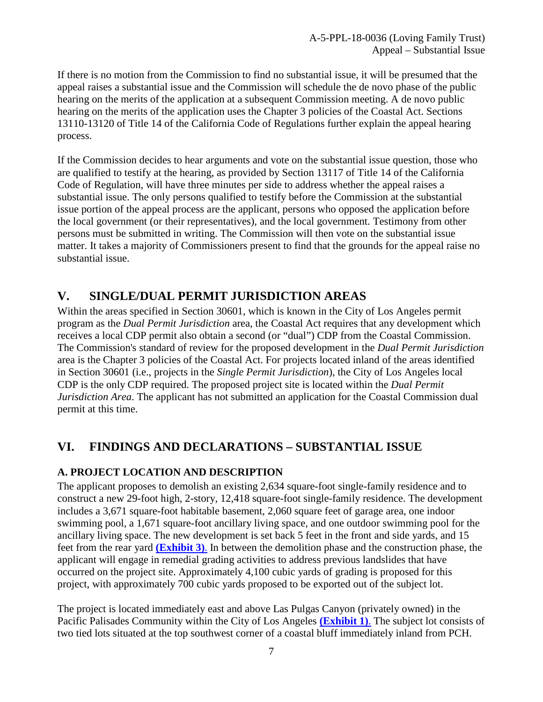If there is no motion from the Commission to find no substantial issue, it will be presumed that the appeal raises a substantial issue and the Commission will schedule the de novo phase of the public hearing on the merits of the application at a subsequent Commission meeting. A de novo public hearing on the merits of the application uses the Chapter 3 policies of the Coastal Act. Sections 13110-13120 of Title 14 of the California Code of Regulations further explain the appeal hearing process.

If the Commission decides to hear arguments and vote on the substantial issue question, those who are qualified to testify at the hearing, as provided by Section 13117 of Title 14 of the California Code of Regulation, will have three minutes per side to address whether the appeal raises a substantial issue. The only persons qualified to testify before the Commission at the substantial issue portion of the appeal process are the applicant, persons who opposed the application before the local government (or their representatives), and the local government. Testimony from other persons must be submitted in writing. The Commission will then vote on the substantial issue matter. It takes a majority of Commissioners present to find that the grounds for the appeal raise no substantial issue.

## <span id="page-6-0"></span>**V. SINGLE/DUAL PERMIT JURISDICTION AREAS**

Within the areas specified in Section 30601, which is known in the City of Los Angeles permit program as the *Dual Permit Jurisdiction* area, the Coastal Act requires that any development which receives a local CDP permit also obtain a second (or "dual") CDP from the Coastal Commission. The Commission's standard of review for the proposed development in the *Dual Permit Jurisdiction* area is the Chapter 3 policies of the Coastal Act. For projects located inland of the areas identified in Section 30601 (i.e., projects in the *Single Permit Jurisdiction*), the City of Los Angeles local CDP is the only CDP required. The proposed project site is located within the *Dual Permit Jurisdiction Area*. The applicant has not submitted an application for the Coastal Commission dual permit at this time.

## <span id="page-6-1"></span>**VI. FINDINGS AND DECLARATIONS – SUBSTANTIAL ISSUE**

### <span id="page-6-2"></span>**A. PROJECT LOCATION AND DESCRIPTION**

The applicant proposes to demolish an existing 2,634 square-foot single-family residence and to construct a new 29-foot high, 2-story, 12,418 square-foot single-family residence. The development includes a 3,671 square-foot habitable basement, 2,060 square feet of garage area, one indoor swimming pool, a 1,671 square-foot ancillary living space, and one outdoor swimming pool for the ancillary living space. The new development is set back 5 feet in the front and side yards, and 15 feet from the rear yard **[\(Exhibit 3\)](https://documents.coastal.ca.gov/reports/2018/7/w15d/w15d-7-2018-exhibits.pdf)**. In between the demolition phase and the construction phase, the applicant will engage in remedial grading activities to address previous landslides that have occurred on the project site. Approximately 4,100 cubic yards of grading is proposed for this project, with approximately 700 cubic yards proposed to be exported out of the subject lot.

The project is located immediately east and above Las Pulgas Canyon (privately owned) in the Pacific Palisades Community within the City of Los Angeles **[\(Exhibit 1\)](https://documents.coastal.ca.gov/reports/2018/7/w15d/w15d-7-2018-exhibits.pdf)**. The subject lot consists of two tied lots situated at the top southwest corner of a coastal bluff immediately inland from PCH.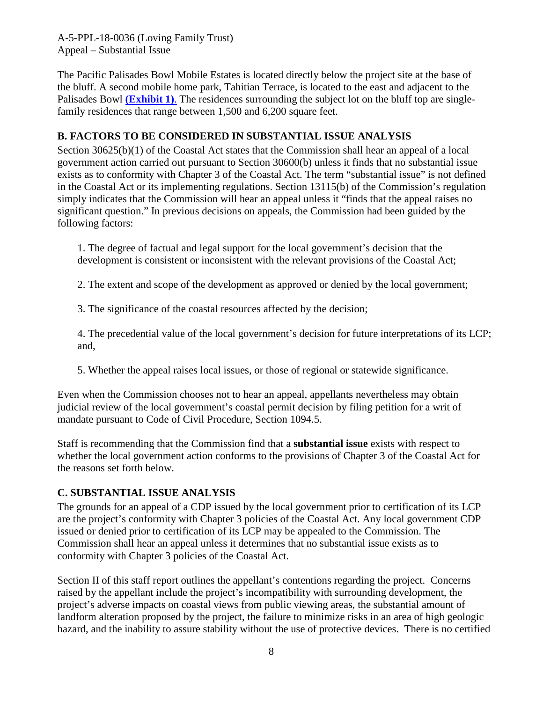The Pacific Palisades Bowl Mobile Estates is located directly below the project site at the base of the bluff. A second mobile home park, Tahitian Terrace, is located to the east and adjacent to the Palisades Bowl **[\(Exhibit 1\)](https://documents.coastal.ca.gov/reports/2018/7/w15d/w15d-7-2018-exhibits.pdf)**. The residences surrounding the subject lot on the bluff top are singlefamily residences that range between 1,500 and 6,200 square feet.

### <span id="page-7-0"></span>**B. FACTORS TO BE CONSIDERED IN SUBSTANTIAL ISSUE ANALYSIS**

Section 30625(b)(1) of the Coastal Act states that the Commission shall hear an appeal of a local government action carried out pursuant to Section 30600(b) unless it finds that no substantial issue exists as to conformity with Chapter 3 of the Coastal Act. The term "substantial issue" is not defined in the Coastal Act or its implementing regulations. Section 13115(b) of the Commission's regulation simply indicates that the Commission will hear an appeal unless it "finds that the appeal raises no significant question." In previous decisions on appeals, the Commission had been guided by the following factors:

1. The degree of factual and legal support for the local government's decision that the development is consistent or inconsistent with the relevant provisions of the Coastal Act;

2. The extent and scope of the development as approved or denied by the local government;

3. The significance of the coastal resources affected by the decision;

4. The precedential value of the local government's decision for future interpretations of its LCP; and,

5. Whether the appeal raises local issues, or those of regional or statewide significance.

Even when the Commission chooses not to hear an appeal, appellants nevertheless may obtain judicial review of the local government's coastal permit decision by filing petition for a writ of mandate pursuant to Code of Civil Procedure, Section 1094.5.

Staff is recommending that the Commission find that a **substantial issue** exists with respect to whether the local government action conforms to the provisions of Chapter 3 of the Coastal Act for the reasons set forth below.

### <span id="page-7-1"></span>**C. SUBSTANTIAL ISSUE ANALYSIS**

The grounds for an appeal of a CDP issued by the local government prior to certification of its LCP are the project's conformity with Chapter 3 policies of the Coastal Act. Any local government CDP issued or denied prior to certification of its LCP may be appealed to the Commission. The Commission shall hear an appeal unless it determines that no substantial issue exists as to conformity with Chapter 3 policies of the Coastal Act.

Section II of this staff report outlines the appellant's contentions regarding the project. Concerns raised by the appellant include the project's incompatibility with surrounding development, the project's adverse impacts on coastal views from public viewing areas, the substantial amount of landform alteration proposed by the project, the failure to minimize risks in an area of high geologic hazard, and the inability to assure stability without the use of protective devices. There is no certified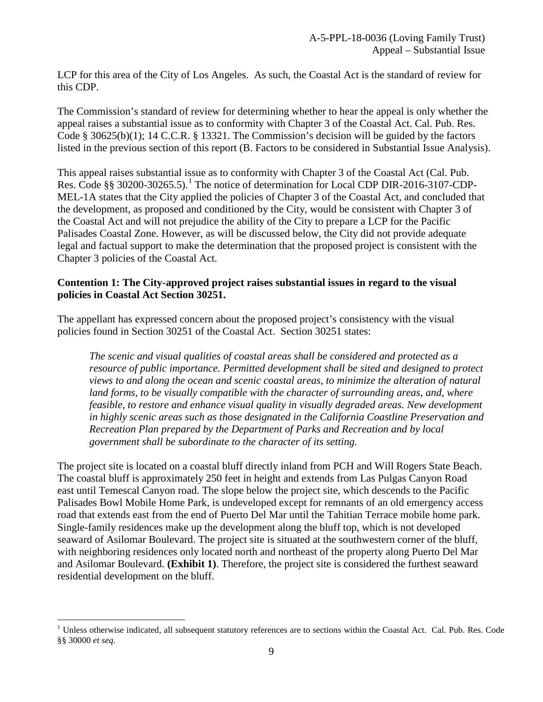LCP for this area of the City of Los Angeles. As such, the Coastal Act is the standard of review for this CDP.

The Commission's standard of review for determining whether to hear the appeal is only whether the appeal raises a substantial issue as to conformity with Chapter 3 of the Coastal Act. Cal. Pub. Res. Code § 30625(b)(1); 14 C.C.R. § 13321. The Commission's decision will be guided by the factors listed in the previous section of this report (B. Factors to be considered in Substantial Issue Analysis).

This appeal raises substantial issue as to conformity with Chapter 3 of the Coastal Act (Cal. Pub. Res. Code §§ 30200-30265.5).<sup>[1](#page-8-0)</sup> The notice of determination for Local CDP DIR-2016-3107-CDP-MEL-1A states that the City applied the policies of Chapter 3 of the Coastal Act, and concluded that the development, as proposed and conditioned by the City, would be consistent with Chapter 3 of the Coastal Act and will not prejudice the ability of the City to prepare a LCP for the Pacific Palisades Coastal Zone. However, as will be discussed below, the City did not provide adequate legal and factual support to make the determination that the proposed project is consistent with the Chapter 3 policies of the Coastal Act.

#### **Contention 1: The City-approved project raises substantial issues in regard to the visual policies in Coastal Act Section 30251.**

The appellant has expressed concern about the proposed project's consistency with the visual policies found in Section 30251 of the Coastal Act. Section 30251 states:

*The scenic and visual qualities of coastal areas shall be considered and protected as a resource of public importance. Permitted development shall be sited and designed to protect views to and along the ocean and scenic coastal areas, to minimize the alteration of natural*  land forms, to be visually compatible with the character of surrounding areas, and, where *feasible, to restore and enhance visual quality in visually degraded areas. New development in highly scenic areas such as those designated in the California Coastline Preservation and Recreation Plan prepared by the Department of Parks and Recreation and by local government shall be subordinate to the character of its setting.* 

The project site is located on a coastal bluff directly inland from PCH and Will Rogers State Beach. The coastal bluff is approximately 250 feet in height and extends from Las Pulgas Canyon Road east until Temescal Canyon road. The slope below the project site, which descends to the Pacific Palisades Bowl Mobile Home Park, is undeveloped except for remnants of an old emergency access road that extends east from the end of Puerto Del Mar until the Tahitian Terrace mobile home park. Single-family residences make up the development along the bluff top, which is not developed seaward of Asilomar Boulevard. The project site is situated at the southwestern corner of the bluff, with neighboring residences only located north and northeast of the property along Puerto Del Mar and Asilomar Boulevard. **(Exhibit 1)**. Therefore, the project site is considered the furthest seaward residential development on the bluff.

<span id="page-8-0"></span> $\overline{a}$ <sup>1</sup> Unless otherwise indicated, all subsequent statutory references are to sections within the Coastal Act. Cal. Pub. Res. Code §§ 30000 *et seq.*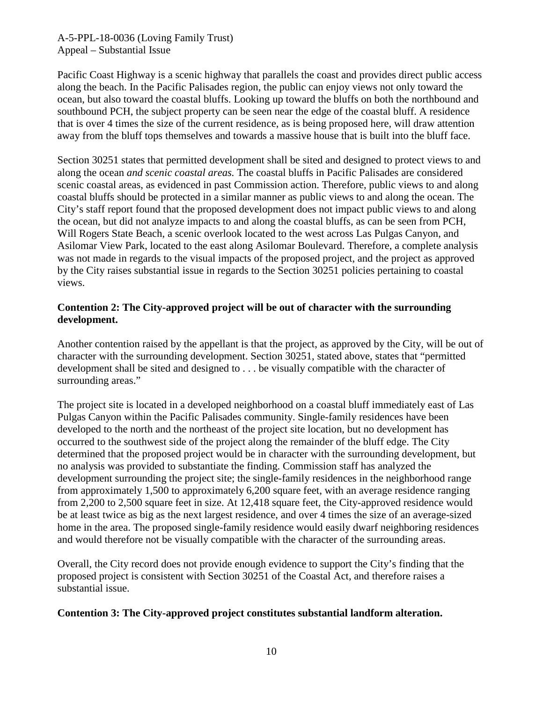Pacific Coast Highway is a scenic highway that parallels the coast and provides direct public access along the beach. In the Pacific Palisades region, the public can enjoy views not only toward the ocean, but also toward the coastal bluffs. Looking up toward the bluffs on both the northbound and southbound PCH, the subject property can be seen near the edge of the coastal bluff. A residence that is over 4 times the size of the current residence, as is being proposed here, will draw attention away from the bluff tops themselves and towards a massive house that is built into the bluff face.

Section 30251 states that permitted development shall be sited and designed to protect views to and along the ocean *and scenic coastal areas.* The coastal bluffs in Pacific Palisades are considered scenic coastal areas, as evidenced in past Commission action. Therefore, public views to and along coastal bluffs should be protected in a similar manner as public views to and along the ocean. The City's staff report found that the proposed development does not impact public views to and along the ocean, but did not analyze impacts to and along the coastal bluffs, as can be seen from PCH, Will Rogers State Beach, a scenic overlook located to the west across Las Pulgas Canyon, and Asilomar View Park, located to the east along Asilomar Boulevard. Therefore, a complete analysis was not made in regards to the visual impacts of the proposed project, and the project as approved by the City raises substantial issue in regards to the Section 30251 policies pertaining to coastal views.

#### **Contention 2: The City-approved project will be out of character with the surrounding development.**

Another contention raised by the appellant is that the project, as approved by the City, will be out of character with the surrounding development. Section 30251, stated above, states that "permitted development shall be sited and designed to . . . be visually compatible with the character of surrounding areas."

The project site is located in a developed neighborhood on a coastal bluff immediately east of Las Pulgas Canyon within the Pacific Palisades community. Single-family residences have been developed to the north and the northeast of the project site location, but no development has occurred to the southwest side of the project along the remainder of the bluff edge. The City determined that the proposed project would be in character with the surrounding development, but no analysis was provided to substantiate the finding. Commission staff has analyzed the development surrounding the project site; the single-family residences in the neighborhood range from approximately 1,500 to approximately 6,200 square feet, with an average residence ranging from 2,200 to 2,500 square feet in size. At 12,418 square feet, the City-approved residence would be at least twice as big as the next largest residence, and over 4 times the size of an average-sized home in the area. The proposed single-family residence would easily dwarf neighboring residences and would therefore not be visually compatible with the character of the surrounding areas.

Overall, the City record does not provide enough evidence to support the City's finding that the proposed project is consistent with Section 30251 of the Coastal Act, and therefore raises a substantial issue.

#### **Contention 3: The City-approved project constitutes substantial landform alteration.**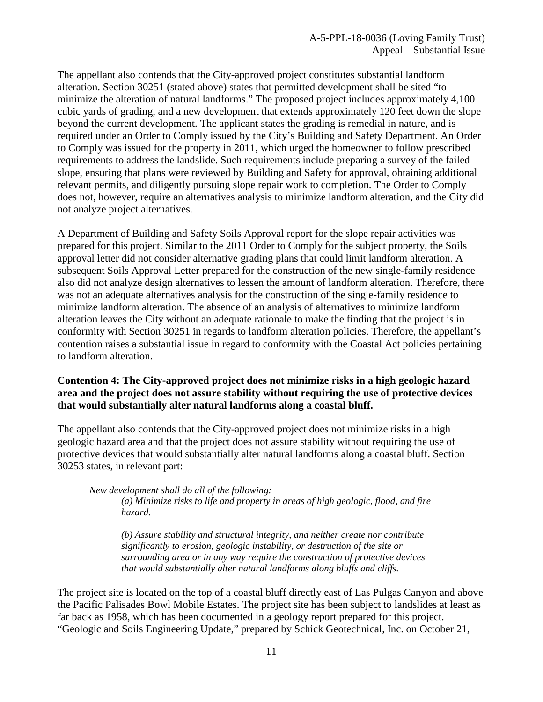The appellant also contends that the City-approved project constitutes substantial landform alteration. Section 30251 (stated above) states that permitted development shall be sited "to minimize the alteration of natural landforms." The proposed project includes approximately 4,100 cubic yards of grading, and a new development that extends approximately 120 feet down the slope beyond the current development. The applicant states the grading is remedial in nature, and is required under an Order to Comply issued by the City's Building and Safety Department. An Order to Comply was issued for the property in 2011, which urged the homeowner to follow prescribed requirements to address the landslide. Such requirements include preparing a survey of the failed slope, ensuring that plans were reviewed by Building and Safety for approval, obtaining additional relevant permits, and diligently pursuing slope repair work to completion. The Order to Comply does not, however, require an alternatives analysis to minimize landform alteration, and the City did not analyze project alternatives.

A Department of Building and Safety Soils Approval report for the slope repair activities was prepared for this project. Similar to the 2011 Order to Comply for the subject property, the Soils approval letter did not consider alternative grading plans that could limit landform alteration. A subsequent Soils Approval Letter prepared for the construction of the new single-family residence also did not analyze design alternatives to lessen the amount of landform alteration. Therefore, there was not an adequate alternatives analysis for the construction of the single-family residence to minimize landform alteration. The absence of an analysis of alternatives to minimize landform alteration leaves the City without an adequate rationale to make the finding that the project is in conformity with Section 30251 in regards to landform alteration policies. Therefore, the appellant's contention raises a substantial issue in regard to conformity with the Coastal Act policies pertaining to landform alteration.

#### **Contention 4: The City-approved project does not minimize risks in a high geologic hazard area and the project does not assure stability without requiring the use of protective devices that would substantially alter natural landforms along a coastal bluff.**

The appellant also contends that the City-approved project does not minimize risks in a high geologic hazard area and that the project does not assure stability without requiring the use of protective devices that would substantially alter natural landforms along a coastal bluff. Section 30253 states, in relevant part:

*New development shall do all of the following:* 

*(a) Minimize risks to life and property in areas of high geologic, flood, and fire hazard.* 

*(b) Assure stability and structural integrity, and neither create nor contribute significantly to erosion, geologic instability, or destruction of the site or surrounding area or in any way require the construction of protective devices that would substantially alter natural landforms along bluffs and cliffs.*

The project site is located on the top of a coastal bluff directly east of Las Pulgas Canyon and above the Pacific Palisades Bowl Mobile Estates. The project site has been subject to landslides at least as far back as 1958, which has been documented in a geology report prepared for this project. "Geologic and Soils Engineering Update," prepared by Schick Geotechnical, Inc. on October 21,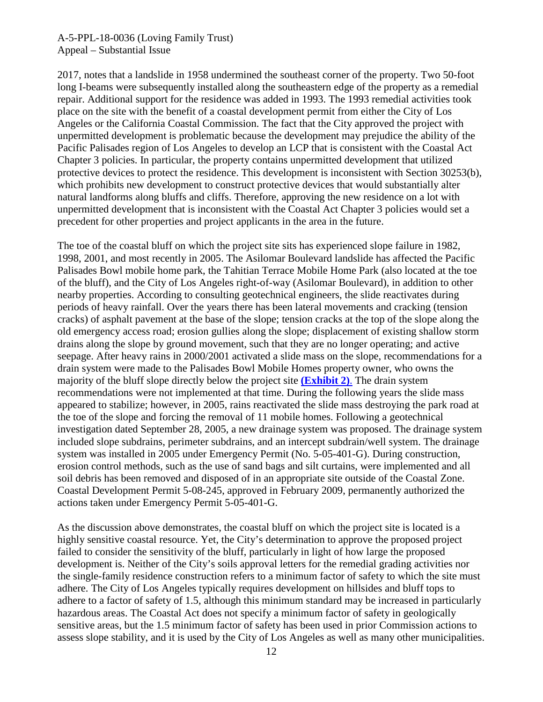2017, notes that a landslide in 1958 undermined the southeast corner of the property. Two 50-foot long I-beams were subsequently installed along the southeastern edge of the property as a remedial repair. Additional support for the residence was added in 1993. The 1993 remedial activities took place on the site with the benefit of a coastal development permit from either the City of Los Angeles or the California Coastal Commission. The fact that the City approved the project with unpermitted development is problematic because the development may prejudice the ability of the Pacific Palisades region of Los Angeles to develop an LCP that is consistent with the Coastal Act Chapter 3 policies. In particular, the property contains unpermitted development that utilized protective devices to protect the residence. This development is inconsistent with Section 30253(b), which prohibits new development to construct protective devices that would substantially alter natural landforms along bluffs and cliffs. Therefore, approving the new residence on a lot with unpermitted development that is inconsistent with the Coastal Act Chapter 3 policies would set a precedent for other properties and project applicants in the area in the future.

The toe of the coastal bluff on which the project site sits has experienced slope failure in 1982, 1998, 2001, and most recently in 2005. The Asilomar Boulevard landslide has affected the Pacific Palisades Bowl mobile home park, the Tahitian Terrace Mobile Home Park (also located at the toe of the bluff), and the City of Los Angeles right-of-way (Asilomar Boulevard), in addition to other nearby properties. According to consulting geotechnical engineers, the slide reactivates during periods of heavy rainfall. Over the years there has been lateral movements and cracking (tension cracks) of asphalt pavement at the base of the slope; tension cracks at the top of the slope along the old emergency access road; erosion gullies along the slope; displacement of existing shallow storm drains along the slope by ground movement, such that they are no longer operating; and active seepage. After heavy rains in 2000/2001 activated a slide mass on the slope, recommendations for a drain system were made to the Palisades Bowl Mobile Homes property owner, who owns the majority of the bluff slope directly below the project site **[\(Exhibit 2\)](https://documents.coastal.ca.gov/reports/2018/7/w15d/w15d-7-2018-exhibits.pdf)**. The drain system recommendations were not implemented at that time. During the following years the slide mass appeared to stabilize; however, in 2005, rains reactivated the slide mass destroying the park road at the toe of the slope and forcing the removal of 11 mobile homes. Following a geotechnical investigation dated September 28, 2005, a new drainage system was proposed. The drainage system included slope subdrains, perimeter subdrains, and an intercept subdrain/well system. The drainage system was installed in 2005 under Emergency Permit (No. 5-05-401-G). During construction, erosion control methods, such as the use of sand bags and silt curtains, were implemented and all soil debris has been removed and disposed of in an appropriate site outside of the Coastal Zone. Coastal Development Permit 5-08-245, approved in February 2009, permanently authorized the actions taken under Emergency Permit 5-05-401-G.

As the discussion above demonstrates, the coastal bluff on which the project site is located is a highly sensitive coastal resource. Yet, the City's determination to approve the proposed project failed to consider the sensitivity of the bluff, particularly in light of how large the proposed development is. Neither of the City's soils approval letters for the remedial grading activities nor the single-family residence construction refers to a minimum factor of safety to which the site must adhere. The City of Los Angeles typically requires development on hillsides and bluff tops to adhere to a factor of safety of 1.5, although this minimum standard may be increased in particularly hazardous areas. The Coastal Act does not specify a minimum factor of safety in geologically sensitive areas, but the 1.5 minimum factor of safety has been used in prior Commission actions to assess slope stability, and it is used by the City of Los Angeles as well as many other municipalities.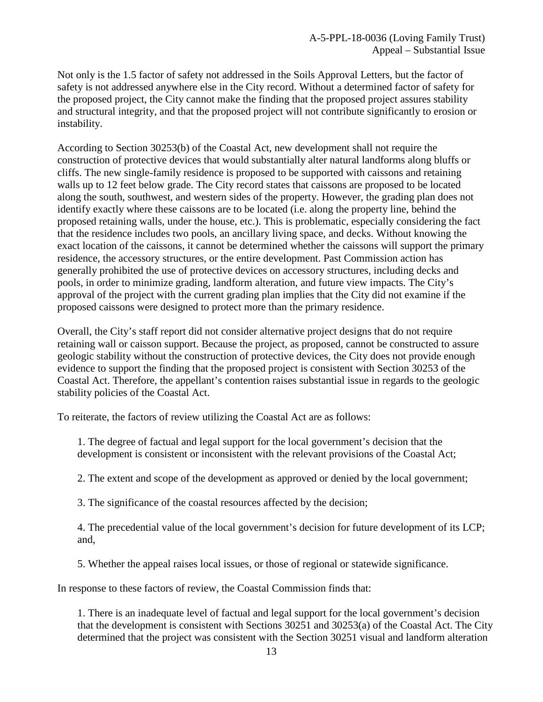Not only is the 1.5 factor of safety not addressed in the Soils Approval Letters, but the factor of safety is not addressed anywhere else in the City record. Without a determined factor of safety for the proposed project, the City cannot make the finding that the proposed project assures stability and structural integrity, and that the proposed project will not contribute significantly to erosion or instability.

According to Section 30253(b) of the Coastal Act, new development shall not require the construction of protective devices that would substantially alter natural landforms along bluffs or cliffs. The new single-family residence is proposed to be supported with caissons and retaining walls up to 12 feet below grade. The City record states that caissons are proposed to be located along the south, southwest, and western sides of the property. However, the grading plan does not identify exactly where these caissons are to be located (i.e. along the property line, behind the proposed retaining walls, under the house, etc.). This is problematic, especially considering the fact that the residence includes two pools, an ancillary living space, and decks. Without knowing the exact location of the caissons, it cannot be determined whether the caissons will support the primary residence, the accessory structures, or the entire development. Past Commission action has generally prohibited the use of protective devices on accessory structures, including decks and pools, in order to minimize grading, landform alteration, and future view impacts. The City's approval of the project with the current grading plan implies that the City did not examine if the proposed caissons were designed to protect more than the primary residence.

Overall, the City's staff report did not consider alternative project designs that do not require retaining wall or caisson support. Because the project, as proposed, cannot be constructed to assure geologic stability without the construction of protective devices, the City does not provide enough evidence to support the finding that the proposed project is consistent with Section 30253 of the Coastal Act. Therefore, the appellant's contention raises substantial issue in regards to the geologic stability policies of the Coastal Act.

To reiterate, the factors of review utilizing the Coastal Act are as follows:

1. The degree of factual and legal support for the local government's decision that the development is consistent or inconsistent with the relevant provisions of the Coastal Act;

2. The extent and scope of the development as approved or denied by the local government;

3. The significance of the coastal resources affected by the decision;

4. The precedential value of the local government's decision for future development of its LCP; and,

5. Whether the appeal raises local issues, or those of regional or statewide significance.

In response to these factors of review, the Coastal Commission finds that:

1. There is an inadequate level of factual and legal support for the local government's decision that the development is consistent with Sections 30251 and 30253(a) of the Coastal Act. The City determined that the project was consistent with the Section 30251 visual and landform alteration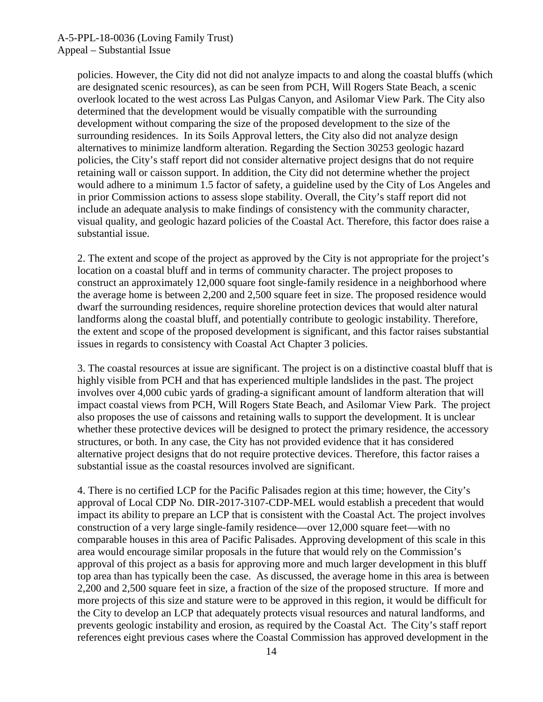policies. However, the City did not did not analyze impacts to and along the coastal bluffs (which are designated scenic resources), as can be seen from PCH, Will Rogers State Beach, a scenic overlook located to the west across Las Pulgas Canyon, and Asilomar View Park. The City also determined that the development would be visually compatible with the surrounding development without comparing the size of the proposed development to the size of the surrounding residences. In its Soils Approval letters, the City also did not analyze design alternatives to minimize landform alteration. Regarding the Section 30253 geologic hazard policies, the City's staff report did not consider alternative project designs that do not require retaining wall or caisson support. In addition, the City did not determine whether the project would adhere to a minimum 1.5 factor of safety, a guideline used by the City of Los Angeles and in prior Commission actions to assess slope stability. Overall, the City's staff report did not include an adequate analysis to make findings of consistency with the community character, visual quality, and geologic hazard policies of the Coastal Act. Therefore, this factor does raise a substantial issue.

2. The extent and scope of the project as approved by the City is not appropriate for the project's location on a coastal bluff and in terms of community character. The project proposes to construct an approximately 12,000 square foot single-family residence in a neighborhood where the average home is between 2,200 and 2,500 square feet in size. The proposed residence would dwarf the surrounding residences, require shoreline protection devices that would alter natural landforms along the coastal bluff, and potentially contribute to geologic instability. Therefore, the extent and scope of the proposed development is significant, and this factor raises substantial issues in regards to consistency with Coastal Act Chapter 3 policies.

3. The coastal resources at issue are significant. The project is on a distinctive coastal bluff that is highly visible from PCH and that has experienced multiple landslides in the past. The project involves over 4,000 cubic yards of grading-a significant amount of landform alteration that will impact coastal views from PCH, Will Rogers State Beach, and Asilomar View Park. The project also proposes the use of caissons and retaining walls to support the development. It is unclear whether these protective devices will be designed to protect the primary residence, the accessory structures, or both. In any case, the City has not provided evidence that it has considered alternative project designs that do not require protective devices. Therefore, this factor raises a substantial issue as the coastal resources involved are significant.

4. There is no certified LCP for the Pacific Palisades region at this time; however, the City's approval of Local CDP No. DIR-2017-3107-CDP-MEL would establish a precedent that would impact its ability to prepare an LCP that is consistent with the Coastal Act. The project involves construction of a very large single-family residence—over 12,000 square feet—with no comparable houses in this area of Pacific Palisades. Approving development of this scale in this area would encourage similar proposals in the future that would rely on the Commission's approval of this project as a basis for approving more and much larger development in this bluff top area than has typically been the case. As discussed, the average home in this area is between 2,200 and 2,500 square feet in size, a fraction of the size of the proposed structure. If more and more projects of this size and stature were to be approved in this region, it would be difficult for the City to develop an LCP that adequately protects visual resources and natural landforms, and prevents geologic instability and erosion, as required by the Coastal Act. The City's staff report references eight previous cases where the Coastal Commission has approved development in the